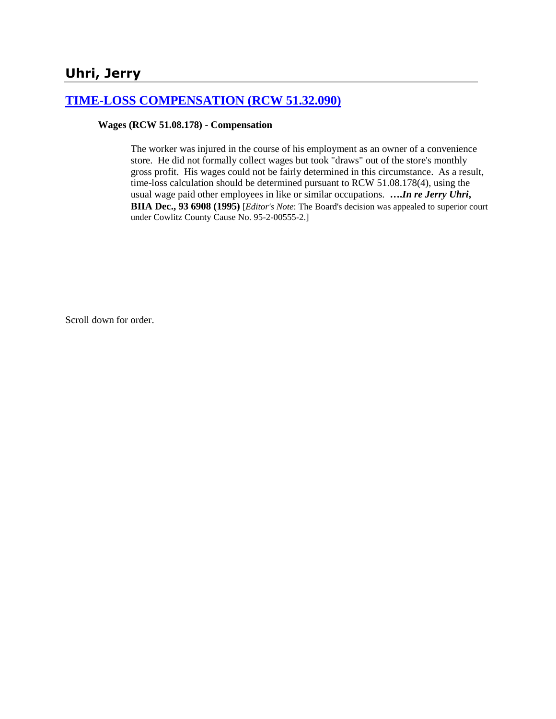# **Uhri, Jerry**

## **[TIME-LOSS COMPENSATION \(RCW 51.32.090\)](http://www.biia.wa.gov/SDSubjectIndex.html#TIME_LOSS_COMPENSATION)**

## **Wages (RCW 51.08.178) - Compensation**

The worker was injured in the course of his employment as an owner of a convenience store. He did not formally collect wages but took "draws" out of the store's monthly gross profit. His wages could not be fairly determined in this circumstance. As a result, time-loss calculation should be determined pursuant to RCW 51.08.178(4), using the usual wage paid other employees in like or similar occupations. **….***In re Jerry Uhri***, BIIA Dec., 93 6908 (1995)** [*Editor's Note*: The Board's decision was appealed to superior court under Cowlitz County Cause No. 95-2-00555-2.]

Scroll down for order.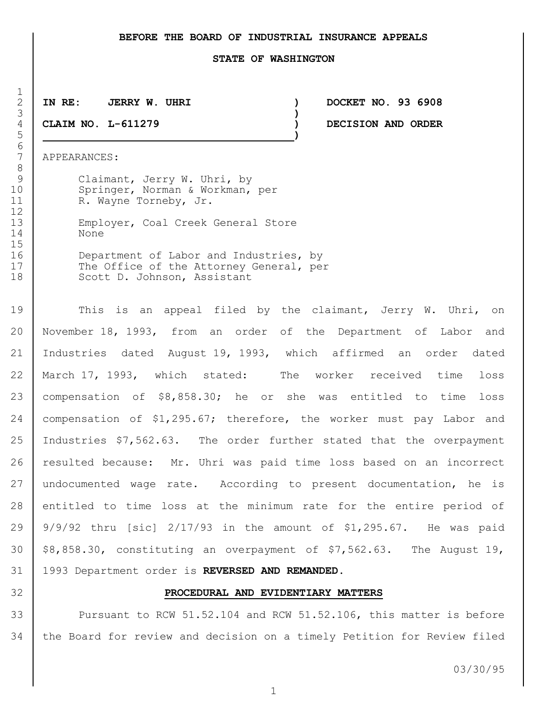## **BEFORE THE BOARD OF INDUSTRIAL INSURANCE APPEALS**

#### **STATE OF WASHINGTON**

**IN RE: JERRY W. UHRI ) DOCKET NO. 93 6908**

**)**

**CLAIM NO. L-611279 ) DECISION AND ORDER**

APPEARANCES:

 $\frac{1}{2}$ 

6<br>7

9 Claimant, Jerry W. Uhri, by 10 Springer, Norman & Workman, per 11 R. Wayne Torneby, Jr. Employer, Coal Creek General Store

**)**

 None 16 Department of Labor and Industries, by

17 The Office of the Attorney General, per 18 Scott D. Johnson, Assistant

19 This is an appeal filed by the claimant, Jerry W. Uhri, on November 18, 1993, from an order of the Department of Labor and Industries dated August 19, 1993, which affirmed an order dated March 17, 1993, which stated: The worker received time loss compensation of \$8,858.30; he or she was entitled to time loss 24 | compensation of \$1,295.67; therefore, the worker must pay Labor and Industries \$7,562.63. The order further stated that the overpayment 26 resulted because: Mr. Uhri was paid time loss based on an incorrect 27 undocumented wage rate. According to present documentation, he is entitled to time loss at the minimum rate for the entire period of 9/9/92 thru [sic] 2/17/93 in the amount of \$1,295.67. He was paid  $\frac{1}{2}$  \$8,858.30, constituting an overpayment of \$7,562.63. The August 19, 1993 Department order is **REVERSED AND REMANDED.**

## **PROCEDURAL AND EVIDENTIARY MATTERS**

 Pursuant to RCW 51.52.104 and RCW 51.52.106, this matter is before the Board for review and decision on a timely Petition for Review filed

03/30/95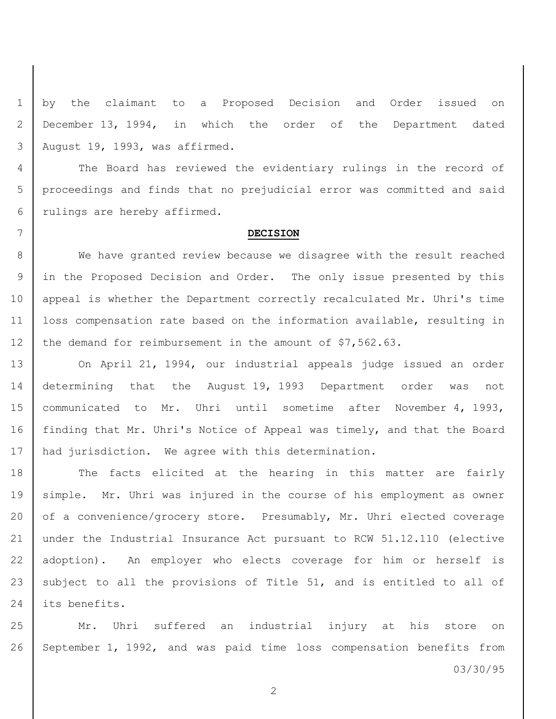1 by the claimant to a Proposed Decision and Order issued on 2 December 13, 1994, in which the order of the Department dated 3 August 19, 1993, was affirmed.

4 The Board has reviewed the evidentiary rulings in the record of 5 proceedings and finds that no prejudicial error was committed and said 6 rulings are hereby affirmed.

#### 7 **DECISION**

8 We have granted review because we disagree with the result reached 9 in the Proposed Decision and Order. The only issue presented by this 10 | appeal is whether the Department correctly recalculated Mr. Uhri's time 11 loss compensation rate based on the information available, resulting in 12 the demand for reimbursement in the amount of \$7,562.63.

 On April 21, 1994, our industrial appeals judge issued an order determining that the August 19, 1993 Department order was not communicated to Mr. Uhri until sometime after November 4, 1993, 16 | finding that Mr. Uhri's Notice of Appeal was timely, and that the Board had jurisdiction. We agree with this determination.

18 The facts elicited at the hearing in this matter are fairly 19 | simple. Mr. Uhri was injured in the course of his employment as owner 20 of a convenience/grocery store. Presumably, Mr. Uhri elected coverage 21 under the Industrial Insurance Act pursuant to RCW 51.12.110 (elective 22 adoption). An employer who elects coverage for him or herself is 23 subject to all the provisions of Title 51, and is entitled to all of 24 l its benefits.

25 | Mr. Uhri suffered an industrial injury at his store on 26 September 1, 1992, and was paid time loss compensation benefits from

03/30/95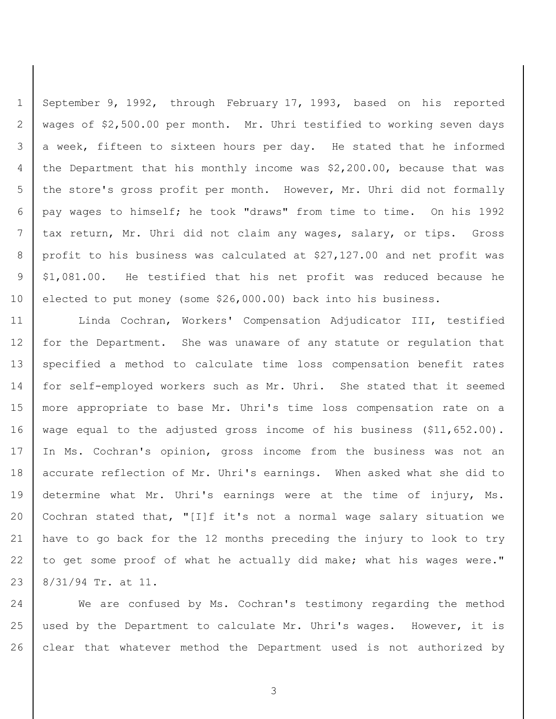September 9, 1992, through February 17, 1993, based on his reported wages of \$2,500.00 per month. Mr. Uhri testified to working seven days 3 a week, fifteen to sixteen hours per day. He stated that he informed the Department that his monthly income was \$2,200.00, because that was 5 the store's gross profit per month. However, Mr. Uhri did not formally pay wages to himself; he took "draws" from time to time. On his 1992 tax return, Mr. Uhri did not claim any wages, salary, or tips. Gross 8 profit to his business was calculated at \$27,127.00 and net profit was \$1,081.00. He testified that his net profit was reduced because he 10 elected to put money (some \$26,000.00) back into his business.

 Linda Cochran, Workers' Compensation Adjudicator III, testified for the Department. She was unaware of any statute or regulation that 13 | specified a method to calculate time loss compensation benefit rates for self-employed workers such as Mr. Uhri. She stated that it seemed more appropriate to base Mr. Uhri's time loss compensation rate on a 16 | wage equal to the adjusted gross income of his business (\$11,652.00). In Ms. Cochran's opinion, gross income from the business was not an 18 accurate reflection of Mr. Uhri's earnings. When asked what she did to 19 determine what Mr. Uhri's earnings were at the time of injury, Ms. Cochran stated that, "[I]f it's not a normal wage salary situation we have to go back for the 12 months preceding the injury to look to try 22 to get some proof of what he actually did make; what his wages were." 8/31/94 Tr. at 11.

 We are confused by Ms. Cochran's testimony regarding the method used by the Department to calculate Mr. Uhri's wages. However, it is clear that whatever method the Department used is not authorized by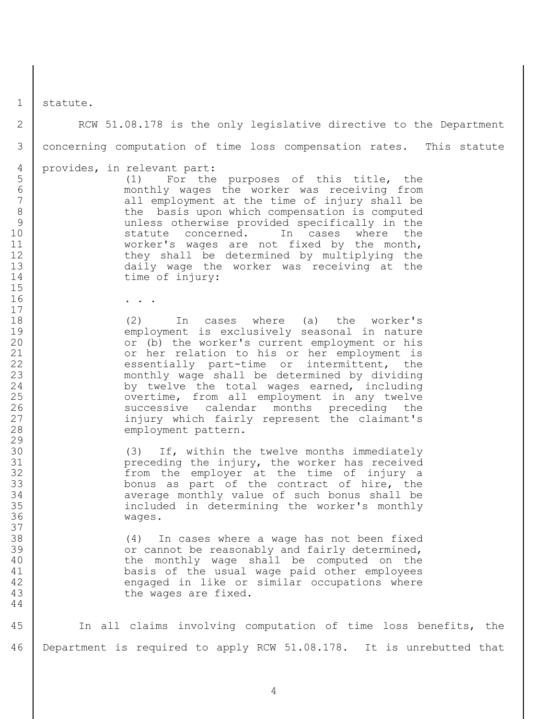statute.

2 | RCW 51.08.178 is the only legislative directive to the Department concerning computation of time loss compensation rates. This statute provides, in relevant part: (1) For the purposes of this title, the monthly wages the worker was receiving from all employment at the time of injury shall be 8 | the basis upon which compensation is computed unless otherwise provided specifically in the 10 statute concerned. In cases where the 11 worker's wages are not fixed by the month, 12 they shall be determined by multiplying the daily wage the worker was receiving at the 14 time of injury: . . . (2) In cases where (a) the worker's 19 | employment is exclusively seasonal in nature or (b) the worker's current employment or his 21 | Corporate or her relation to his or her employment is 22 essentially part-time or intermittent, the monthly wage shall be determined by dividing 24 by twelve the total wages earned, including 25 | vertime, from all employment in any twelve 26 Successive calendar months preceding the 27 | injury which fairly represent the claimant's 28 employment pattern. (3) If, within the twelve months immediately preceding the injury, the worker has received 32 | Trom the employer at the time of injury a bonus as part of the contract of hire, the average monthly value of such bonus shall be included in determining the worker's monthly wages. (4) In cases where a wage has not been fixed **Fig. 2018** or cannot be reasonably and fairly determined, 40 | the monthly wage shall be computed on the basis of the usual wage paid other employees 42 engaged in like or similar occupations where **the wages are fixed.**  In all claims involving computation of time loss benefits, the Department is required to apply RCW 51.08.178. It is unrebutted that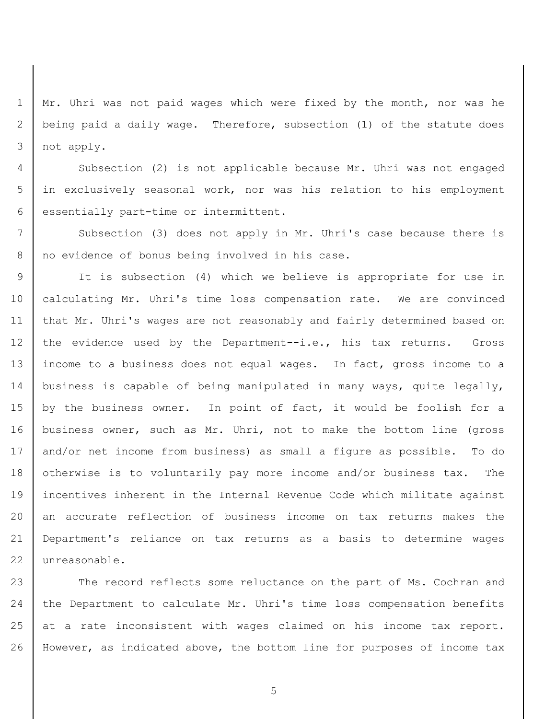Mr. Uhri was not paid wages which were fixed by the month, nor was he being paid a daily wage. Therefore, subsection (1) of the statute does not apply.

 Subsection (2) is not applicable because Mr. Uhri was not engaged in exclusively seasonal work, nor was his relation to his employment 6 | essentially part-time or intermittent.

7 | Subsection (3) does not apply in Mr. Uhri's case because there is 8 no evidence of bonus being involved in his case.

 It is subsection (4) which we believe is appropriate for use in 10 | calculating Mr. Uhri's time loss compensation rate. We are convinced that Mr. Uhri's wages are not reasonably and fairly determined based on 12 the evidence used by the Department--i.e., his tax returns. Gross income to a business does not equal wages. In fact, gross income to a business is capable of being manipulated in many ways, quite legally, 15 by the business owner. In point of fact, it would be foolish for a 16 | business owner, such as Mr. Uhri, not to make the bottom line (gross and/or net income from business) as small a figure as possible. To do 18 otherwise is to voluntarily pay more income and/or business tax. The incentives inherent in the Internal Revenue Code which militate against an accurate reflection of business income on tax returns makes the Department's reliance on tax returns as a basis to determine wages unreasonable.

23 The record reflects some reluctance on the part of Ms. Cochran and the Department to calculate Mr. Uhri's time loss compensation benefits 25 at a rate inconsistent with wages claimed on his income tax report. However, as indicated above, the bottom line for purposes of income tax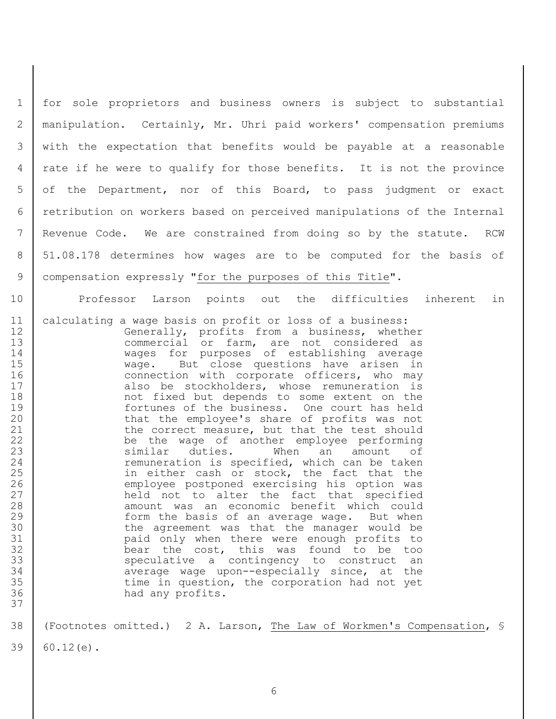for sole proprietors and business owners is subject to substantial manipulation. Certainly, Mr. Uhri paid workers' compensation premiums with the expectation that benefits would be payable at a reasonable rate if he were to qualify for those benefits. It is not the province 5 of the Department, nor of this Board, to pass judgment or exact retribution on workers based on perceived manipulations of the Internal Revenue Code. We are constrained from doing so by the statute. RCW 51.08.178 determines how wages are to be computed for the basis of compensation expressly "for the purposes of this Title".

10 Professor Larson points out the difficulties inherent in

11 calculating a wage basis on profit or loss of a business: 12 Generally, profits from a business, whether 13 commercial or farm, are not considered as 14 wages for purposes of establishing average 15 | wage. But close questions have arisen in 16 connection with corporate officers, who may 17 also be stockholders, whose remuneration is 18 | The not fixed but depends to some extent on the 19 fortunes of the business. One court has held 20 that the employee's share of profits was not 21 the correct measure, but that the test should 22 | be the wage of another employee performing 23 Similar duties. When an amount of 24 cemuneration is specified, which can be taken 25 | in either cash or stock, the fact that the 26 employee postponed exercising his option was 27 held not to alter the fact that specified 28 amount was an economic benefit which could 29 **form** the basis of an average wage. But when 30 the agreement was that the manager would be 31 paid only when there were enough profits to 32 bear the cost, this was found to be too 33 | Speculative a contingency to construct an 34 average wage upon--especially since, at the 35 1 35 time in question, the corporation had not yet 36 had any profits.

38 (Footnotes omitted.) 2 A. Larson, The Law of Workmen's Compensation, §

 $39 \mid 60.12(e)$ .

37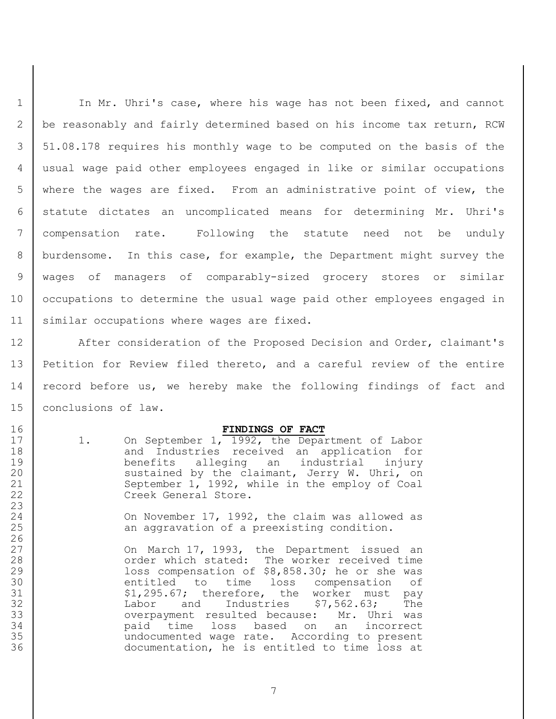1 | In Mr. Uhri's case, where his wage has not been fixed, and cannot be reasonably and fairly determined based on his income tax return, RCW 51.08.178 requires his monthly wage to be computed on the basis of the usual wage paid other employees engaged in like or similar occupations where the wages are fixed. From an administrative point of view, the statute dictates an uncomplicated means for determining Mr. Uhri's compensation rate. Following the statute need not be unduly burdensome. In this case, for example, the Department might survey the wages of managers of comparably-sized grocery stores or similar 10 | occupations to determine the usual wage paid other employees engaged in similar occupations where wages are fixed.

12 | After consideration of the Proposed Decision and Order, claimant's Petition for Review filed thereto, and a careful review of the entire 14 | record before us, we hereby make the following findings of fact and conclusions of law.

## **FINDINGS OF FACT**

17 | 1. On September 1, 1992, the Department of Labor 18 and Industries received an application for benefits alleging an industrial injury sustained by the claimant, Jerry W. Uhri, on September 1, 1992, while in the employ of Coal 22 Creek General Store.

**On November 17, 1992, the claim was allowed as** 25 an aggravation of a preexisting condition.

27 | Con March 17, 1993, the Department issued an 28 order which stated: The worker received time loss compensation of \$8,858.30; he or she was entitled to time loss compensation of 31 | S1,295.67; therefore, the worker must pay Labor and Industries \$7,562.63; The overpayment resulted because: Mr. Uhri was paid time loss based on an incorrect undocumented wage rate. According to present documentation, he is entitled to time loss at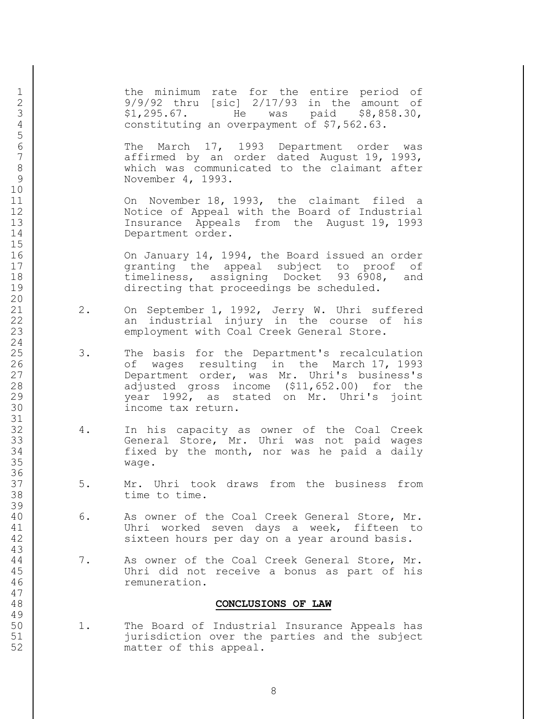1 | the minimum rate for the entire period of 2 9/9/92 thru [sic] 2/17/93 in the amount of 3 \$1,295.67. He was paid \$8,858.30,<br>4 constituting an overpayment of \$7,562.63. constituting an overpayment of \$7,562.63.

 The March 17, 1993 Department order was affirmed by an order dated August 19, 1993, which was communicated to the claimant after November 4, 1993.

 On November 18, 1993, the claimant filed a Notice of Appeal with the Board of Industrial Insurance Appeals from the August 19, 1993 14 Department order.

 On January 14, 1994, the Board issued an order 17 | conting the appeal subject to proof of 18 timeliness, assigning Docket 93 6908, and directing that proceedings be scheduled.

- 21 2. On September 1, 1992, Jerry W. Uhri suffered 22 an industrial injury in the course of his 23 employment with Coal Creek General Store.
- 25 | 3. The basis for the Department's recalculation **1 12 Commander** of wages resulting in the March 17, 1993 Department order, was Mr. Uhri's business's 28 adjusted gross income (\$11,652.00) for the year 1992, as stated on Mr. Uhri's joint income tax return.
- 4. In his capacity as owner of the Coal Creek 33 | General Store, Mr. Uhri was not paid wages fixed by the month, nor was he paid a daily wage.
- 37 | 5. Mr. Uhri took draws from the business from 38 time to time.
- 40 6. As owner of the Coal Creek General Store, Mr. Uhri worked seven days a week, fifteen to 42 sixteen hours per day on a year around basis.
- 44 7. As owner of the Coal Creek General Store, Mr. Uhri did not receive a bonus as part of his remuneration.

## **CONCLUSIONS OF LAW**

 1. The Board of Industrial Insurance Appeals has jurisdiction over the parties and the subject matter of this appeal.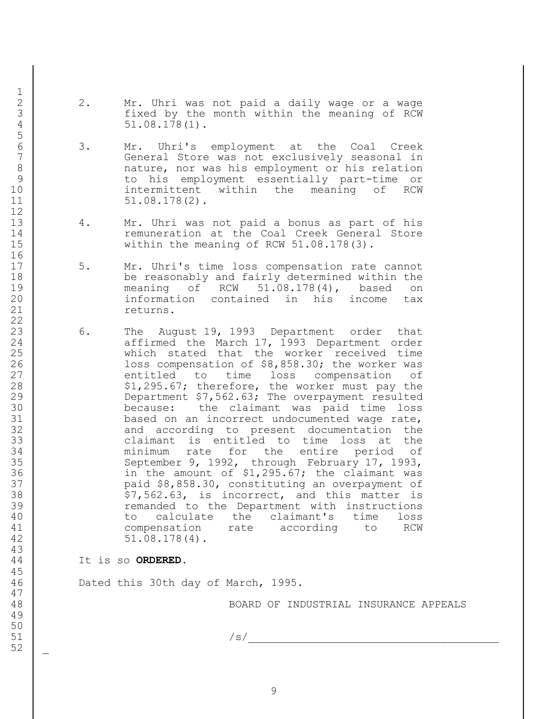- 2. Mr. Uhri was not paid a daily wage or a wage 3 fixed by the month within the meaning of RCW 4 51.08.178(1).
- 3. Mr. Uhri's employment at the Coal Creek General Store was not exclusively seasonal in 8 and the nature, nor was his employment or his relation to his employment essentially part-time or intermittent within the meaning of RCW 51.08.178(2).
- 13 4. Mr. Uhri was not paid a bonus as part of his 14 cemuneration at the Coal Creek General Store 15 Within the meaning of RCW 51.08.178(3).
- 17 | 5. Mr. Uhri's time loss compensation rate cannot be reasonably and fairly determined within the meaning of RCW 51.08.178(4), based on information contained in his income tax 21 returns.
- 6. The August 19, 1993 Department order that 24 | affirmed the March 17, 1993 Department order which stated that the worker received time 26 | Coss compensation of \$8,858.30; the worker was 27 entitled to time loss compensation of 28  $\vert$  \$1,295.67; therefore, the worker must pay the Department \$7,562.63; The overpayment resulted because: the claimant was paid time loss based on an incorrect undocumented wage rate, 32 and according to present documentation the claimant is entitled to time loss at the minimum rate for the entire period of 35 September 9, 1992, through February 17, 1993, in the amount of \$1,295.67; the claimant was paid \$8,858.30, constituting an overpayment of 38  $\vert$  \$7,562.63, is incorrect, and this matter is remanded to the Department with instructions to calculate the claimant's time loss compensation rate according to RCW 42 51.08.178(4).
- It is so **ORDERED.**

Dated this 30th day of March, 1995.

BOARD OF INDUSTRIAL INSURANCE APPEALS

/s/